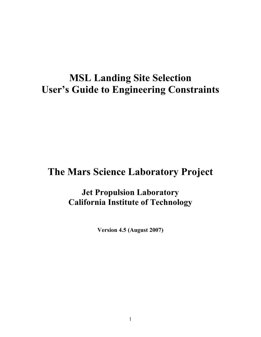# **MSL Landing Site Selection User's Guide to Engineering Constraints**

## **The Mars Science Laboratory Project**

## **Jet Propulsion Laboratory California Institute of Technology**

**Version 4.5 (August 2007)**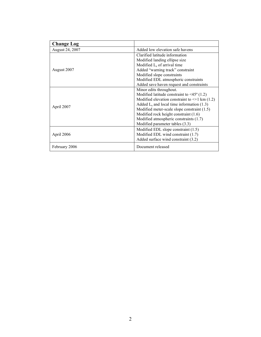| <b>Change Log</b> |                                                         |  |  |
|-------------------|---------------------------------------------------------|--|--|
| August 24, 2007   | Added low elevation safe havens                         |  |  |
|                   | Clarified latitude information                          |  |  |
|                   | Modified landing ellipse size                           |  |  |
|                   | Modified $Ls$ of arrival time                           |  |  |
| August 2007       | Added "warning track" constraint                        |  |  |
|                   | Modified slope constraints                              |  |  |
|                   | Modified EDL atmospheric constraints                    |  |  |
|                   | Added save haven request and constraints                |  |  |
|                   | Minor edits throughout.                                 |  |  |
|                   | Modified latitude constraint to $\leq 45^{\circ}$ (1.2) |  |  |
|                   | Modified elevation constraint to $\leq$ +1 km (1.2)     |  |  |
| April 2007        | Added $L_s$ and local time information (1.3)            |  |  |
|                   | Modified meter-scale slope constraint $(1.5)$           |  |  |
|                   | Modified rock height constraint (1.6)                   |  |  |
|                   | Modified atmospheric constraints (1.7)                  |  |  |
|                   | Modified parameter tables (3.3)                         |  |  |
|                   | Modified EDL slope constraint $(1.5)$                   |  |  |
| April 2006        | Modified EDL wind constraint (1.7)                      |  |  |
|                   | Added surface wind constraint (3.2)                     |  |  |
| February 2006     | Document released                                       |  |  |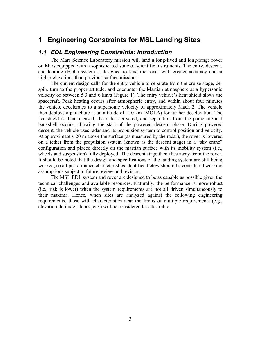## **1 Engineering Constraints for MSL Landing Sites**

### *1.1 EDL Engineering Constraints: Introduction*

The Mars Science Laboratory mission will land a long-lived and long-range rover on Mars equipped with a sophisticated suite of scientific instruments. The entry, descent, and landing (EDL) system is designed to land the rover with greater accuracy and at higher elevations than previous surface missions.

The current design calls for the entry vehicle to separate from the cruise stage, despin, turn to the proper attitude, and encounter the Martian atmosphere at a hypersonic velocity of between 5.3 and 6 km/s (Figure 1). The entry vehicle's heat shield slows the spacecraft. Peak heating occurs after atmospheric entry, and within about four minutes the vehicle decelerates to a supersonic velocity of approximately Mach 2. The vehicle then deploys a parachute at an altitude of  $\sim$ 10 km (MOLA) for further deceleration. The heatshield is then released, the radar activated, and separation from the parachute and backshell occurs, allowing the start of the powered descent phase. During powered descent, the vehicle uses radar and its propulsion system to control position and velocity. At approximately 20 m above the surface (as measured by the radar), the rover is lowered on a tether from the propulsion system (known as the descent stage) in a "sky crane" configuration and placed directly on the martian surface with its mobility system (i.e., wheels and suspension) fully deployed. The descent stage then flies away from the rover. It should be noted that the design and specifications of the landing system are still being worked, so all performance characteristics identified below should be considered working assumptions subject to future review and revision.

The MSL EDL system and rover are designed to be as capable as possible given the technical challenges and available resources. Naturally, the performance is more robust (i.e., risk is lower) when the system requirements are not all driven simultaneously to their maxima. Hence, when sites are analyzed against the following engineering requirements, those with characteristics near the limits of multiple requirements (e.g., elevation, latitude, slopes, etc.) will be considered less desirable.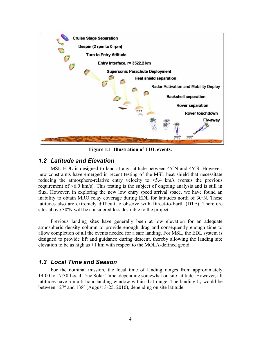

**Figure 1.1 Illustration of EDL events.**

## *1.2 Latitude and Elevation*

MSL EDL is designed to land at any latitude between 45°N and 45°S. However, new constraints have emerged in recent testing of the MSL heat shield that necessitate reducing the atmosphere-relative entry velocity to <5.4 km/s (versus the previous requirement of <6.0 km/s). This testing is the subject of ongoing analysis and is still in flux. However, in exploring the new low entry speed arrival space, we have found an inability to obtain MRO relay coverage during EDL for latitudes north of 30ºN. These latitudes also are extremely difficult to observe with Direct-to-Earth (DTE). Therefore sites above 30ºN will be considered less desirable to the project.

Previous landing sites have generally been at low elevation for an adequate atmospheric density column to provide enough drag and consequently enough time to allow completion of all the events needed for a safe landing. For MSL, the EDL system is designed to provide lift and guidance during descent, thereby allowing the landing site elevation to be as high as +1 km with respect to the MOLA-defined geoid.

## *1.3 Local Time and Season*

For the nominal mission, the local time of landing ranges from approximately 14:00 to 17:30 Local True Solar Time, depending somewhat on site latitude. However, all latitudes have a multi-hour landing window within that range. The landing  $L_s$  would be between 127º and 138º (August 3-25, 2010), depending on site latitude.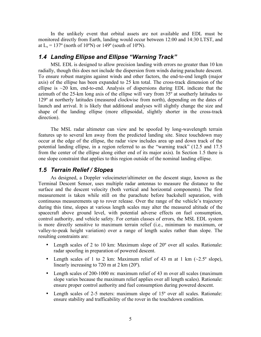In the unlikely event that orbital assets are not available and EDL must be monitored directly from Earth, landing would occur between 12:00 and 14:30 LTST, and at  $L_s = 137^\circ$  (north of 10°N) or 149° (south of 10°N).

## *1.4 Landing Ellipse and Ellipse "Warning Track"*

MSL EDL is designed to allow precision landing with errors no greater than 10 km radially, though this does not include the dispersion from winds during parachute descent. To ensure robust margins against winds and other factors, the end-to-end length (major axis) of the ellipse has been expanded to 25 km total. The cross-track dimension of the ellipse is  $\sim$ 20 km, end-to-end. Analysis of dispersions during EDL indicate that the azimuth of the 25-km long axis of the ellipse will vary from 35º at southerly latitudes to 129º at northerly latitudes (measured clockwise from north), depending on the dates of launch and arrival. It is likely that additional analyses will slightly change the size and shape of the landing ellipse (more ellipsoidal, slightly shorter in the cross-track direction).

The MSL radar altimeter can view and be spoofed by long-wavelength terrain features up to several km away from the predicted landing site. Since touchdown may occur at the edge of the ellipse, the radar view includes area up and down track of the potential landing ellipse, in a region referred to as the "warning track" (12.5 and 17.5 from the center of the ellipse along either end of its major axis). In Section 1.5 there is one slope constraint that applies to this region outside of the nominal landing ellipse.

## *1.5 Terrain Relief / Slopes*

As designed, a Doppler velocimeter/altimeter on the descent stage, known as the Terminal Descent Sensor, uses multiple radar antennas to measure the distance to the surface and the descent velocity (both vertical and horizontal components). The first measurement is taken while still on the parachute before backshell separation, with continuous measurements up to rover release. Over the range of the vehicle's trajectory during this time, slopes at various length scales may alter the measured altitude of the spacecraft above ground level, with potential adverse effects on fuel consumption, control authority, and vehicle safety. For certain classes of errors, the MSL EDL system is more directly sensitive to maximum terrain relief (i.e., minimum to maximum, or valley-to-peak height variation) over a range of length scales rather than slope. The resulting constraints are:

- Length scales of 2 to 10 km: Maximum slope of 20° over all scales. Rationale: radar spoofing in preparation of powered descent.
- Length scales of 1 to 2 km: Maximum relief of 43 m at 1 km  $(\sim 2.5^{\circ}$  slope), linearly increasing to 720 m at 2 km (20º).
- Length scales of 200-1000 m: maximum relief of 43 m over all scales (maximum slope varies because the maximum relief applies over all length scales). Rationale: ensure proper control authority and fuel consumption during powered descent.
- Length scales of 2-5 meters: maximum slope of 15<sup>°</sup> over all scales. Rationale: ensure stability and trafficability of the rover in the touchdown condition.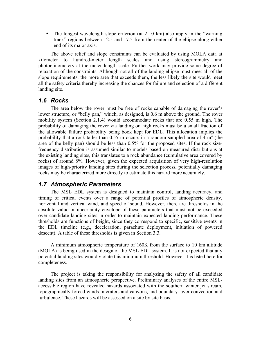• The longest-wavelength slope criterion (at 2-10 km) also apply in the "warning track" regions between 12.5 and 17.5 from the center of the ellipse along either end of its major axis.

The above relief and slope constraints can be evaluated by using MOLA data at kilometer to hundred-meter length scales and using stereogrammetry and photoclinometery at the meter length scale. Further work may provide some degree of relaxation of the constraints. Although not all of the landing ellipse must meet all of the slope requirements, the more area that exceeds them, the less likely the site would meet all the safety criteria thereby increasing the chances for failure and selection of a different landing site.

## *1.6 Rocks*

The area below the rover must be free of rocks capable of damaging the rover's lower structure, or "belly pan," which, as designed, is 0.6 m above the ground. The rover mobility system (Section 2.1.4) would accommodate rocks that are 0.55 m high. The probability of damaging the rover via landing on high rocks must be a small fraction of the allowable failure probability being book kept for EDL. This allocation implies the probability that a rock taller than 0.55 m occurs in a random sampled area of 4  $m<sup>2</sup>$  (the area of the belly pan) should be less than 0.5% for the proposed sites. If the rock sizefrequency distribution is assumed similar to models based on measured distributions at the existing landing sites, this translates to a rock abundance (cumulative area covered by rocks) of around 8%. However, given the expected acquisition of very high-resolution images of high-priority landing sites during the selection process, potentially damaging rocks may be characterized more directly to estimate this hazard more accurately.

## *1.7 Atmospheric Parameters*

The MSL EDL system is designed to maintain control, landing accuracy, and timing of critical events over a range of potential profiles of atmospheric density, horizontal and vertical wind, and speed of sound. However, there are thresholds in the absolute value or uncertainty envelope of these parameters that must not be exceeded over candidate landing sites in order to maintain expected landing performance. These thresholds are functions of height, since they correspond to specific, sensitive events in the EDL timeline (e.g., deceleration, parachute deployment, initiation of powered descent). A table of these thresholds is given in Section 3.3.

A minimum atmospheric temperature of 160K from the surface to 10 km altitude (MOLA) is being used in the design of the MSL EDL system. It is not expected that any potential landing sites would violate this minimum threshold. However it is listed here for completeness.

The project is taking the responsibility for analyzing the safety of all candidate landing sites from an atmospheric perspective. Preliminary analyses of the entire MSLaccessible region have revealed hazards associated with the southern winter jet stream, topographically forced winds in craters and canyons, and boundary layer convection and turbulence. These hazards will be assessed on a site by site basis.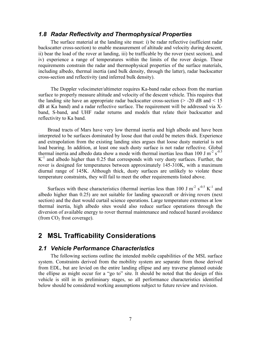## *1.8 Radar Reflectivity and Thermophysical Properties*

The surface material at the landing site must: i) be radar reflective (sufficient radar backscatter cross-section) to enable measurement of altitude and velocity during descent, ii) bear the load of the rover at landing, iii) be trafficable by the rover (next section), and iv) experience a range of temperatures within the limits of the rover design. These requirements constrain the radar and thermophysical properties of the surface materials, including albedo, thermal inertia (and bulk density, through the latter), radar backscatter cross-section and reflectivity (and inferred bulk density).

The Doppler velocimeter/altimeter requires Ka-band radar echoes from the martian surface to properly measure altitude and velocity of the descent vehicle. This requires that the landing site have an appropriate radar backscatter cross-section  $(> -20$  dB and  $< 15$ dB at Ka band) and a radar reflective surface. The requirement will be addressed via Xband, S-band, and UHF radar returns and models that relate their backscatter and reflectivity to Ka band.

Broad tracts of Mars have very low thermal inertia and high albedo and have been interpreted to be surfaces dominated by loose dust that could be meters thick. Experience and extrapolation from the existing landing sites argues that loose dusty material is not load bearing. In addition, at least one such dusty surface is not radar reflective. Global thermal inertia and albedo data show a mode with thermal inertias less than 100 J m<sup>-2</sup> s<sup>-0.5</sup>  $K^{-1}$  and albedo higher than 0.25 that corresponds with very dusty surfaces. Further, the rover is designed for temperatures between approximately 145-310K, with a maximum diurnal range of 145K. Although thick, dusty surfaces are unlikely to violate these temperature constraints, they will fail to meet the other requirements listed above.

Surfaces with these characteristics (thermal inertias less than 100 J m<sup>-2</sup> s<sup>-0.5</sup> K<sup>-1</sup> and albedo higher than 0.25) are not suitable for landing spacecraft or driving rovers (next section) and the dust would curtail science operations. Large temperature extremes at low thermal inertia, high albedo sites would also reduce surface operations through the diversion of available energy to rover thermal maintenance and reduced hazard avoidance (from  $CO<sub>2</sub>$  frost coverage).

## **2 MSL Trafficability Considerations**

#### *2.1 Vehicle Performance Characteristics*

The following sections outline the intended mobile capabilities of the MSL surface system. Constraints derived from the mobility system are separate from those derived from EDL, but are levied on the entire landing ellipse and any traverse planned outside the ellipse as might occur for a "go to" site. It should be noted that the design of this vehicle is still in its preliminary stages, so all performance characteristics identified below should be considered working assumptions subject to future review and revision.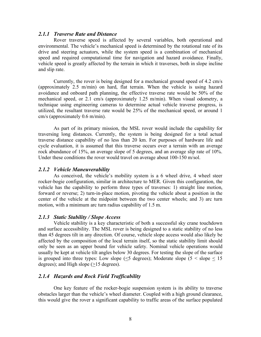#### *2.1.1 Traverse Rate and Distance*

Rover traverse speed is affected by several variables, both operational and environmental. The vehicle's mechanical speed is determined by the rotational rate of its drive and steering actuators, while the system speed is a combination of mechanical speed and required computational time for navigation and hazard avoidance. Finally, vehicle speed is greatly affected by the terrain in which it traverses, both in slope incline and slip rate.

Currently, the rover is being designed for a mechanical ground speed of 4.2 cm/s (approximately 2.5 m/min) on hard, flat terrain. When the vehicle is using hazard avoidance and onboard path planning, the effective traverse rate would be 50% of the mechanical speed, or 2.1 cm/s (approximately 1.25 m/min). When visual odometry, a technique using engineering cameras to determine actual vehicle traverse progress, is utilized, the resultant traverse rate would be 25% of the mechanical speed, or around 1 cm/s (approximately 0.6 m/min).

As part of its primary mission, the MSL rover would include the capability for traversing long distances. Currently, the system is being designed for a total actual traverse distance capability of no less than 20 km. For purposes of hardware life and cycle evaluation, it is assumed that this traverse occurs over a terrain with an average rock abundance of 15%, an average slope of 5 degrees, and an average slip rate of 10%. Under these conditions the rover would travel on average about 100-150 m/sol.

#### *2.1.2 Vehicle Maneuverability*

As conceived, the vehicle's mobility system is a 6 wheel drive, 4 wheel steer rocker-bogie configuration, similar in architecture to MER. Given this configuration, the vehicle has the capability to perform three types of traverses: 1) straight line motion, forward or reverse; 2) turn-in-place motion, pivoting the vehicle about a position in the center of the vehicle at the midpoint between the two center wheels; and 3) arc turn motion, with a minimum arc turn radius capability of 1.5 m.

#### *2.1.3 Static Stability / Slope Access*

Vehicle stability is a key characteristic of both a successful sky crane touchdown and surface accessibility. The MSL rover is being designed to a static stability of no less than 45 degrees tilt in any direction. Of course, vehicle slope access would also likely be affected by the composition of the local terrain itself, so the static stability limit should only be seen as an upper bound for vehicle safety. Nominal vehicle operations would usually be kept at vehicle tilt angles below 30 degrees. For testing the slope of the surface is grouped into three types: Low slope  $(5 \leq 5)$ ; Moderate slope  $(5 \leq 5)$ degrees); and High slope  $(\geq 15$  degrees).

#### *2.1.4 Hazards and Rock Field Trafficability*

One key feature of the rocker-bogie suspension system is its ability to traverse obstacles larger than the vehicle's wheel diameter. Coupled with a high ground clearance, this would give the rover a significant capability to traffic areas of the surface populated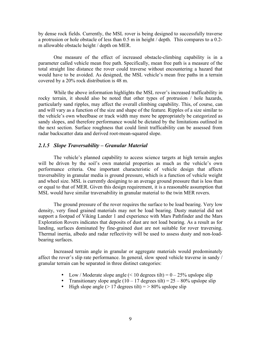by dense rock fields. Currently, the MSL rover is being designed to successfully traverse a protrusion or hole obstacle of less than 0.5 m in height / depth. This compares to a 0.2 m allowable obstacle height / depth on MER.

One measure of the effect of increased obstacle-climbing capability is in a parameter called vehicle mean free path. Specifically, mean free path is a measure of the total straight line distance the rover could traverse without encountering a hazard that would have to be avoided. As designed, the MSL vehicle's mean free paths in a terrain covered by a 20% rock distribution is 48 m.

While the above information highlights the MSL rover's increased trafficability in rocky terrain, it should also be noted that other types of protrusion / hole hazards, particularly sand ripples, may affect the overall climbing capability. This, of course, can and will vary as a function of the size and shape of the feature. Ripples of a size similar to the vehicle's own wheelbase or track width may more be appropriately be categorized as sandy slopes, and therefore performance would be dictated by the limitations outlined in the next section. Surface roughness that could limit trafficability can be assessed from radar backscatter data and derived root-mean-squared slope.

#### *2.1.5 Slope Traversability – Granular Material*

The vehicle's planned capability to access science targets at high terrain angles will be driven by the soil's own material properties as much as the vehicle's own performance criteria. One important characteristic of vehicle design that affects traversability in granular media is ground pressure, which is a function of vehicle weight and wheel size. MSL is currently designing to an average ground pressure that is less than or equal to that of MER. Given this design requirement, it is a reasonable assumption that MSL would have similar traversability in granular material to the twin MER rovers.

The ground pressure of the rover requires the surface to be load bearing. Very low density, very fined grained materials may not be load bearing. Dusty material did not support a footpad of Viking Lander 1 and experience with Mars Pathfinder and the Mars Exploration Rovers indicates that deposits of dust are not load bearing. As a result as for landing, surfaces dominated by fine-grained dust are not suitable for rover traversing. Thermal inertia, albedo and radar reflectivity will be used to assess dusty and non-loadbearing surfaces.

Increased terrain angle in granular or aggregate materials would predominately affect the rover's slip rate performance. In general, slow speed vehicle traverse in sandy / granular terrain can be separated in three distinct categories:

- Low / Moderate slope angle  $(< 10$  degrees tilt) =  $0 25\%$  upslope slip
- Transitionary slope angle  $(10 17$  degrees tilt) = 25 80% upslope slip
- High slope angle ( $> 17$  degrees tilt) =  $> 80\%$  upslope slip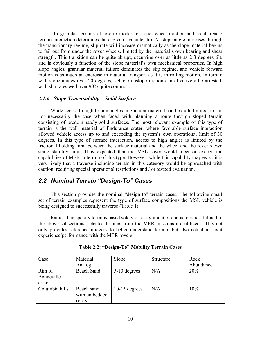In granular terrains of low to moderate slope, wheel traction and local tread / terrain interaction determines the degree of vehicle slip. As slope angle increases through the transitionary regime, slip rate will increase dramatically as the slope material begins to fail out from under the rover wheels, limited by the material's own bearing and shear strength. This transition can be quite abrupt, occurring over as little as 2-3 degrees tilt, and is obviously a function of the slope material's own mechanical properties. In high slope angles, granular material failure dominates the slip regime, and vehicle forward motion is as much an exercise in material transport as it is in rolling motion. In terrain with slope angles over 20 degrees, vehicle upslope motion can effectively be arrested, with slip rates well over 90% quite common.

#### *2.1.6 Slope Traversability – Solid Surface*

While access to high terrain angles in granular material can be quite limited, this is not necessarily the case when faced with planning a route through sloped terrain consisting of predominately solid surfaces. The most relevant example of this type of terrain is the wall material of Endurance crater, where favorable surface interaction allowed vehicle access up to and exceeding the system's own operational limit of 30 degrees. In this type of surface interaction, access to high angles is limited by the frictional holding limit between the surface material and the wheel and the rover's own static stability limit. It is expected that the MSL rover would meet or exceed the capabilities of MER in terrain of this type. However, while this capability may exist, it is very likely that a traverse including terrain in this category would be approached with caution, requiring special operational restrictions and / or testbed evaluation.

## *2.2 Nominal Terrain "Design-To" Cases*

This section provides the nominal "design-to" terrain cases. The following small set of terrain examples represent the type of surface compositions the MSL vehicle is being designed to successfully traverse (Table 1).

Rather than specify terrains based solely on assignment of characteristics defined in the above subsections, selected terrains from the MER missions are utilized. This not only provides reference imagery to better understand terrain, but also actual in-flight experience/performance with the MER rovers.

| Case           | Material      | Slope           | Structure | Rock      |
|----------------|---------------|-----------------|-----------|-----------|
|                | Analog        |                 |           | Abundance |
| Rim of         | Beach Sand    | 5-10 degrees    | N/A       | 20%       |
| Bonneville     |               |                 |           |           |
| crater         |               |                 |           |           |
| Columbia hills | Beach sand    | $10-15$ degrees | N/A       | 10%       |
|                | with embedded |                 |           |           |
|                | rocks         |                 |           |           |

**Table 2.2: "Design-To" Mobility Terrain Cases**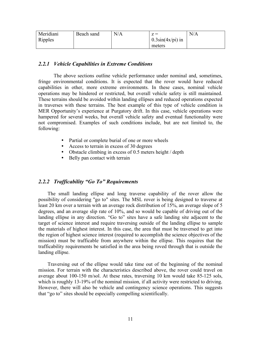| Meridiani | Beach sand | N/A | $\mathbf{z} =$      | N/A |
|-----------|------------|-----|---------------------|-----|
| Ripples   |            |     | $0.3\sin(4x/pi)$ in |     |
|           |            |     | meters              |     |

#### *2.2.1 Vehicle Capabilities in Extreme Conditions*

The above sections outline vehicle performance under nominal and, sometimes, fringe environmental conditions. It is expected that the rover would have reduced capabilities in other, more extreme environments. In these cases, nominal vehicle operations may be hindered or restricted, but overall vehicle safety is still maintained. These terrains should be avoided within landing ellipses and reduced operations expected in traverses with these terrains. The best example of this type of vehicle condition is MER Opportunity's experience at Purgatory drift. In this case, vehicle operations were hampered for several weeks, but overall vehicle safety and eventual functionality were not compromised. Examples of such conditions include, but are not limited to, the following:

- Partial or complete burial of one or more wheels
- Access to terrain in excess of 30 degrees
- Obstacle climbing in excess of 0.5 meters height / depth
- Belly pan contact with terrain

#### *2.2.2 Trafficability "Go To" Requirements*

The small landing ellipse and long traverse capability of the rover allow the possibility of considering "go to" sites. The MSL rover is being designed to traverse at least 20 km over a terrain with an average rock distribution of 15%, an average slope of 5 degrees, and an average slip rate of 10%, and so would be capable of driving out of the landing ellipse in any direction. "Go to" sites have a safe landing site adjacent to the target of science interest and require traversing outside of the landing ellipse to sample the materials of highest interest. In this case, the area that must be traversed to get into the region of highest science interest (required to accomplish the science objectives of the mission) must be trafficable from anywhere within the ellipse. This requires that the trafficability requirements be satisfied in the area being roved through that is outside the landing ellipse.

Traversing out of the ellipse would take time out of the beginning of the nominal mission. For terrain with the characteristics described above, the rover could travel on average about 100-150 m/sol. At these rates, traversing 10 km would take 85-125 sols, which is roughly 13-19% of the nominal mission, if all activity were restricted to driving. However, there will also be vehicle and contingency science operations. This suggests that "go to" sites should be especially compelling scientifically.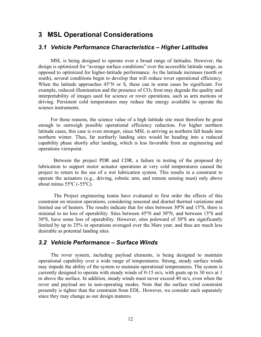## **3 MSL Operational Considerations**

#### *3.1 Vehicle Performance Characteristics – Higher Latitudes*

MSL is being designed to operate over a broad range of latitudes. However, the design is optimized for "average surface conditions" over the accessible latitude range, as opposed to optimized for higher-latitude performance. As the latitude increases (north or south), several conditions begin to develop that will reduce rover operational efficiency. When the latitude approaches 45°N or S, these can in some cases be significant. For example, reduced illumination and the presence of  $CO<sub>2</sub>$  frost may degrade the quality and interpretability of images used for science or rover operations, such as arm motions or driving. Persistent cold temperatures may reduce the energy available to operate the science instruments.

For these reasons, the science value of a high latitude site must therefore be great enough to outweigh possible operational efficiency reduction. For higher northern latitude cases, this case is even stronger, since MSL is arriving as northern fall heads into northern winter. Thus, far northerly landing sites would be heading into a reduced capability phase shortly after landing, which is less favorable from an engineering and operations viewpoint.

Between the project PDR and CDR, a failure in testing of the proposed dry lubrication to support motor actuator operations at very cold temperatures caused the project to return to the use of a wet lubrication system. This results in a constraint to operate the actuators (e.g., driving, robotic arm, and remote sensing mast) only above about minus 55ºC (-55ºC).

The Project engineering teams have evaluated to first order the effects of this constraint on mission operations, considering seasonal and diurnal thermal variations and limited use of heaters. The results indicate that for sites between 30ºN and 15ºS, there is minimal to no loss of operability. Sites between 45ºN and 30ºN, and between 15ºS and 30ºS, have some loss of operability. However, sites poleward of 30ºS are significantly limited by up to 25% in operations averaged over the Mars year, and thus are much less desirable as potential landing sites.

#### *3.2 Vehicle Performance – Surface Winds*

The rover system, including payload elements, is being designed to maintain operational capability over a wide range of temperatures. Strong, steady surface winds may impede the ability of the system to maintain operational temperatures. The system is currently designed to operate with steady winds of 0-15 m/s, with gusts up to 30 m/s at 1 m above the surface. In addition, steady winds must never exceed 40 m/s, even when the rover and payload are in non-operating modes. Note that the surface wind constraint presently is tighter than the constraint from EDL. However, we consider each separately since they may change as our design matures.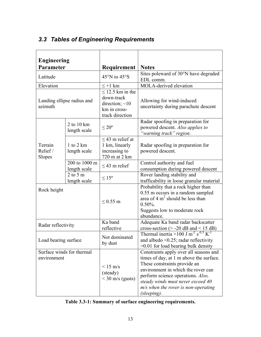## *3.3 Tables of Engineering Requirements*

| <b>Engineering</b><br><b>Parameter</b>   |                                      | Requirement                                                                                    | <b>Notes</b>                                                                                                                                                                                                                                                                              |
|------------------------------------------|--------------------------------------|------------------------------------------------------------------------------------------------|-------------------------------------------------------------------------------------------------------------------------------------------------------------------------------------------------------------------------------------------------------------------------------------------|
| Latitude                                 |                                      | $45^{\circ}$ N to $45^{\circ}$ S                                                               | Sites poleward of 30°N have degraded<br>EDL comm.                                                                                                                                                                                                                                         |
| Elevation                                |                                      | $\leq +1$ km                                                                                   | MOLA-derived elevation                                                                                                                                                                                                                                                                    |
| Landing ellipse radius and<br>azimuth    |                                      | $\leq$ 12.5 km in the<br>down-track<br>direction; $\sim$ 10<br>km in cross-<br>track direction | Allowing for wind-induced<br>uncertainty during parachute descent                                                                                                                                                                                                                         |
|                                          | 2 to $10 \text{ km}$<br>length scale | $\leq 20^{\circ}$                                                                              | Radar spoofing in preparation for<br>powered descent. Also applies to<br>"warning track" region.                                                                                                                                                                                          |
| Terrain<br>Relief/<br>Slopes             | 1 to 2 $km$<br>length scale          | $<$ 43 m relief at<br>1 km, linearly<br>increasing to<br>720 m at 2 km                         | Radar spoofing in preparation for<br>powered descent.                                                                                                                                                                                                                                     |
|                                          | 200 to 1000 m<br>length scale        | $\leq$ 43 m relief                                                                             | Control authority and fuel<br>consumption during powered descent                                                                                                                                                                                                                          |
|                                          | 2 to 5 $m$<br>length scale           | $\leq 15^{\circ}$                                                                              | Rover landing stability and<br>trafficability in loose granular material                                                                                                                                                                                                                  |
| Rock height                              |                                      | $< 0.55$ m                                                                                     | Probability that a rock higher than<br>0.55 m occurs in a random sampled<br>area of $4 \text{ m}^2$ should be less than<br>$0.50\%$ .<br>Suggests low to moderate rock<br>abundance.                                                                                                      |
| Radar reflectivity                       |                                      | Ka band<br>reflective                                                                          | Adequate Ka band radar backscatter<br>cross-section ( $>$ -20 dB and < 15 dB)                                                                                                                                                                                                             |
| Load bearing surface                     |                                      | Not dominated<br>by dust                                                                       | Thermal inertia >100 J m <sup>-2</sup> s <sup>-0.5</sup> K <sup>-1</sup><br>and albedo $\leq 0.25$ ; radar reflectivity<br>$>0.01$ for load bearing bulk density                                                                                                                          |
| Surface winds for thermal<br>environment |                                      | $< 15$ m/s<br>(steady)<br>$<$ 30 m/s (gusts)                                                   | Constraints apply over all seasons and<br>times of day, at 1 m above the surface.<br>These constraints provide an<br>environment in which the rover can<br>perform science operations. Also,<br>steady winds must never exceed 40<br>$m/s$ when the rover is non-operating<br>(sleeping). |

|  |  | Table 3.3-1: Summary of surface engineering requirements. |
|--|--|-----------------------------------------------------------|
|  |  |                                                           |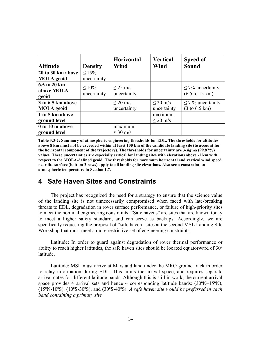| <b>Altitude</b>   | <b>Density</b> | <b>Horizontal</b><br>Wind | <b>Vertical</b><br>Wind | Speed of<br>Sound                 |
|-------------------|----------------|---------------------------|-------------------------|-----------------------------------|
| 20 to 30 km above | $< 15\%$       |                           |                         |                                   |
| <b>MOLA</b> geoid | uncertainty    |                           |                         |                                   |
| 6.5 to 20 km      | $10\%$         | $\leq$ 25 m/s             |                         | $\leq$ 7% uncertainty             |
| above MOLA        |                |                           |                         |                                   |
| geoid             | uncertainty    | uncertainty               |                         | $(6.5 \text{ to } 15 \text{ km})$ |
| 3 to 6.5 km above |                | $\leq$ 20 m/s             | $\leq$ 20 m/s           | $\leq$ 7% uncertainty             |
| <b>MOLA</b> geoid |                | uncertainty               | uncertainty             | $(3 \text{ to } 6.5 \text{ km})$  |
| 1 to 5 km above   |                |                           | maximum                 |                                   |
| ground level      |                |                           | $\leq$ 20 m/s           |                                   |
| 0 to 10 m above   |                | maximum                   |                         |                                   |
| ground level      |                | $\leq$ 30 m/s             |                         |                                   |

**Table 3.3-2: Summary of atmospheric engineering thresholds for EDL. The thresholds for altitudes** above 8 km must not be exceeded within at least 100 km of the candidate landing site (to account for **the horizontal component of the trajectory). The thresholds for uncertainty are 3-sigma (99.87%) values. These uncertainties are especially critical for landing sites with elevations above -1 km with respect to the MOLA-defined geoid. The thresholds for maximum horizontal and vertical wind speed near the surface (bottom 2 rows) apply to all landing site elevations. Also see a constraint on atmospheric temperature in Section 1.7.**

## **4 Safe Haven Sites and Constraints**

The project has recognized the need for a strategy to ensure that the science value of the landing site is not unnecessarily compromised when faced with late-breaking threats to EDL, degradation in rover surface performance, or failure of high-priority sites to meet the nominal engineering constraints. "Safe havens" are sites that are known today to meet a higher safety standard, and can serve as backups. Accordingly, we are specifically requesting the proposal of "safe haven" sites at the second MSL Landing Site Workshop that must meet a more restrictive set of engineering constraints.

Latitude: In order to guard against degradation of rover thermal performance or ability to reach higher latitudes, the safe haven sites should be located equatorward of 30º latitude.

Latitude: MSL must arrive at Mars and land under the MRO ground track in order to relay information during EDL. This limits the arrival space, and requires separate arrival dates for different latitude bands. Although this is still in work, the current arrival space provides 4 arrival sets and hence 4 corresponding latitude bands:  $(30^{\circ}N-15^{\circ}N)$ , (15ºN-10ºS), (10ºS-30ºS), and (30ºS-40ºS). *A safe haven site would be preferred in each band containing a primary site.*